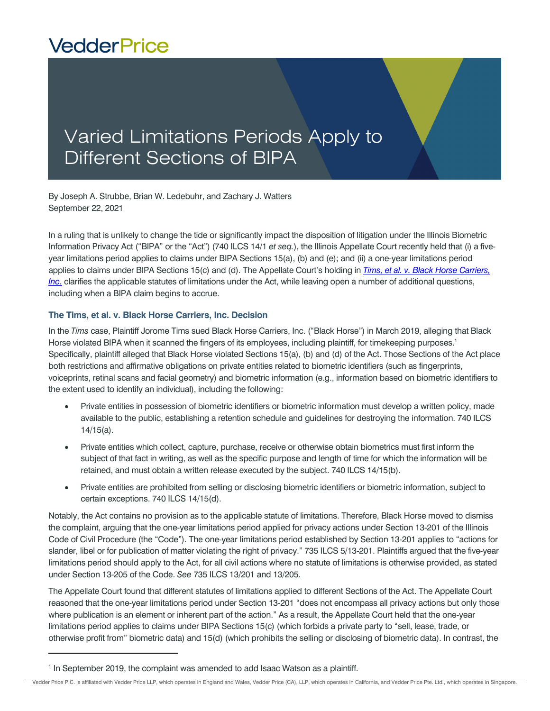## **VedderPrice**

## Varied Limitations Periods Apply to Different Sections of BIPA

By Joseph A. Strubbe, Brian W. Ledebuhr, and Zachary J. Watters September 22, 2021

In a ruling that is unlikely to change the tide or significantly impact the disposition of litigation under the Illinois Biometric Information Privacy Act ("BIPA" or the "Act") (740 ILCS 14/1 *et seq.*), the Illinois Appellate Court recently held that (i) a fiveyear limitations period applies to claims under BIPA Sections 15(a), (b) and (e); and (ii) a one-year limitations period applies to claims under BIPA Sections 15(c) and (d). The Appellate Court's holding in *[Tims, et al. v. Black Horse Carriers,](https://www.illinoiscourts.gov/resources/5b1a4927-9c65-4509-9daa-b2ee3fee795f/file)  [Inc.](https://www.illinoiscourts.gov/resources/5b1a4927-9c65-4509-9daa-b2ee3fee795f/file)* clarifies the applicable statutes of limitations under the Act, while leaving open a number of additional questions, including when a BIPA claim begins to accrue.

## **The Tims, et al. v. Black Horse Carriers, Inc. Decision**

In the *Tims* case, Plaintiff Jorome Tims sued Black Horse Carriers, Inc. ("Black Horse") in March 2019, alleging that Black Horse violated BIPA when it scanned the fingers of its employees, including plaintiff, for timekeeping purposes.<sup>1</sup> Specifically, plaintiff alleged that Black Horse violated Sections 15(a), (b) and (d) of the Act. Those Sections of the Act place both restrictions and affirmative obligations on private entities related to biometric identifiers (such as fingerprints, voiceprints, retinal scans and facial geometry) and biometric information (e.g., information based on biometric identifiers to the extent used to identify an individual), including the following:

- Private entities in possession of biometric identifiers or biometric information must develop a written policy, made available to the public, establishing a retention schedule and guidelines for destroying the information. 740 ILCS 14/15(a).
- Private entities which collect, capture, purchase, receive or otherwise obtain biometrics must first inform the subject of that fact in writing, as well as the specific purpose and length of time for which the information will be retained, and must obtain a written release executed by the subject. 740 ILCS 14/15(b).
- Private entities are prohibited from selling or disclosing biometric identifiers or biometric information, subject to certain exceptions. 740 ILCS 14/15(d).

Notably, the Act contains no provision as to the applicable statute of limitations. Therefore, Black Horse moved to dismiss the complaint, arguing that the one-year limitations period applied for privacy actions under Section 13-201 of the Illinois Code of Civil Procedure (the "Code"). The one-year limitations period established by Section 13-201 applies to "actions for slander, libel or for publication of matter violating the right of privacy." 735 ILCS 5/13-201. Plaintiffs argued that the five-year limitations period should apply to the Act, for all civil actions where no statute of limitations is otherwise provided, as stated under Section 13-205 of the Code. *See* 735 ILCS 13/201 and 13/205.

The Appellate Court found that different statutes of limitations applied to different Sections of the Act. The Appellate Court reasoned that the one-year limitations period under Section 13-201 "does not encompass all privacy actions but only those where publication is an element or inherent part of the action." As a result, the Appellate Court held that the one-year limitations period applies to claims under BIPA Sections 15(c) (which forbids a private party to "sell, lease, trade, or otherwise profit from" biometric data) and 15(d) (which prohibits the selling or disclosing of biometric data). In contrast, the

<sup>&</sup>lt;sup>1</sup> In September 2019, the complaint was amended to add Isaac Watson as a plaintiff.

Vedder Price P.C. is affiliated with Vedder Price LLP, which operates in England and Wales, Vedder Price (CA), LLP, which operates in California, and Vedder Price Pte. Ltd., which operates in Singapore.